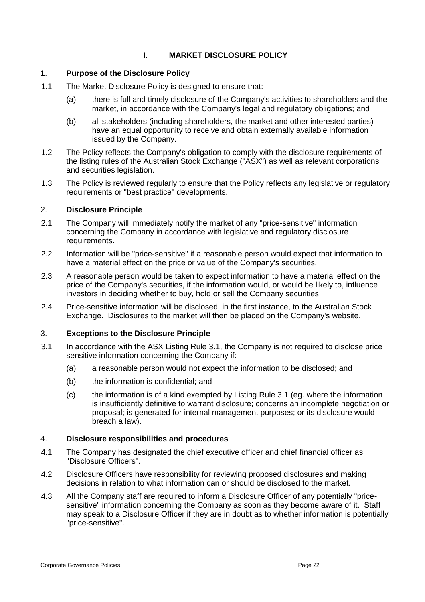# **I. MARKET DISCLOSURE POLICY**

### 1. **Purpose of the Disclosure Policy**

- 1.1 The Market Disclosure Policy is designed to ensure that:
	- (a) there is full and timely disclosure of the Company's activities to shareholders and the market, in accordance with the Company's legal and regulatory obligations; and
	- (b) all stakeholders (including shareholders, the market and other interested parties) have an equal opportunity to receive and obtain externally available information issued by the Company.
- 1.2 The Policy reflects the Company's obligation to comply with the disclosure requirements of the listing rules of the Australian Stock Exchange ("ASX") as well as relevant corporations and securities legislation.
- 1.3 The Policy is reviewed regularly to ensure that the Policy reflects any legislative or regulatory requirements or "best practice" developments.

# 2. **Disclosure Principle**

- 2.1 The Company will immediately notify the market of any "price-sensitive" information concerning the Company in accordance with legislative and regulatory disclosure requirements.
- 2.2 Information will be "price-sensitive" if a reasonable person would expect that information to have a material effect on the price or value of the Company's securities.
- 2.3 A reasonable person would be taken to expect information to have a material effect on the price of the Company's securities, if the information would, or would be likely to, influence investors in deciding whether to buy, hold or sell the Company securities.
- 2.4 Price-sensitive information will be disclosed, in the first instance, to the Australian Stock Exchange. Disclosures to the market will then be placed on the Company's website.

### 3. **Exceptions to the Disclosure Principle**

- 3.1 In accordance with the ASX Listing Rule 3.1, the Company is not required to disclose price sensitive information concerning the Company if:
	- (a) a reasonable person would not expect the information to be disclosed; and
	- (b) the information is confidential; and
	- (c) the information is of a kind exempted by Listing Rule 3.1 (eg. where the information is insufficiently definitive to warrant disclosure; concerns an incomplete negotiation or proposal; is generated for internal management purposes; or its disclosure would breach a law).

### 4. **Disclosure responsibilities and procedures**

- 4.1 The Company has designated the chief executive officer and chief financial officer as "Disclosure Officers".
- 4.2 Disclosure Officers have responsibility for reviewing proposed disclosures and making decisions in relation to what information can or should be disclosed to the market.
- 4.3 All the Company staff are required to inform a Disclosure Officer of any potentially "pricesensitive" information concerning the Company as soon as they become aware of it. Staff may speak to a Disclosure Officer if they are in doubt as to whether information is potentially "price-sensitive".